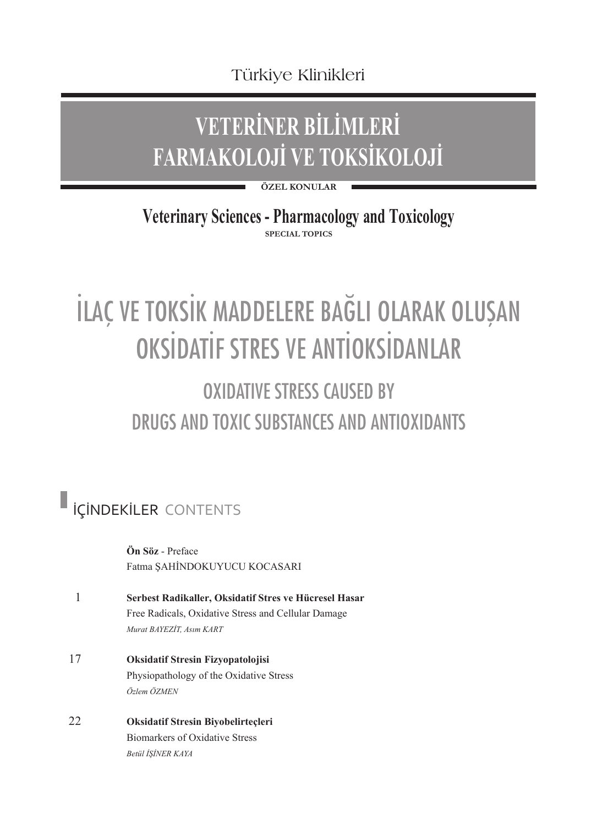Türkiye Klinikleri

## **VETERİNER BİLİMLERİ FARMAKOLOJİ VE TOKSİKOLOJİ**

**ÖZEL KONULAR**

**SPECIAL TOPICS Veterinary Sciences - Pharmacology and Toxicology**

## İLAÇ VE TOKSİK MADDELERE BAĞLI OLARAK OLUŞAN OKSİDATİF STRES VE ANTİOKSİDANLAR

## OXIDATIVE STRESS CALISED BY DRUGS AND TOXIC SUBSTANCES AND ANTIOXIDANTS

## İÇİNDEKİLER CONTENTS

**Ön Söz** - Preface Fatma ŞAHİNDOKUYUCU KOCASARI

- 1 **Serbest Radikaller, Oksidatif Stres ve Hücresel Hasar**  Free Radicals, Oxidative Stress and Cellular Damage *Murat BAYEZİT, Asım KART*
- 17 **Oksidatif Stresin Fizyopatolojisi**  Physiopathology of the Oxidative Stress *Özlem ÖZMEN*
- 22 **Oksidatif Stresin Biyobelirteçleri**  Biomarkers of Oxidative Stress *Betül İŞİNER KAYA*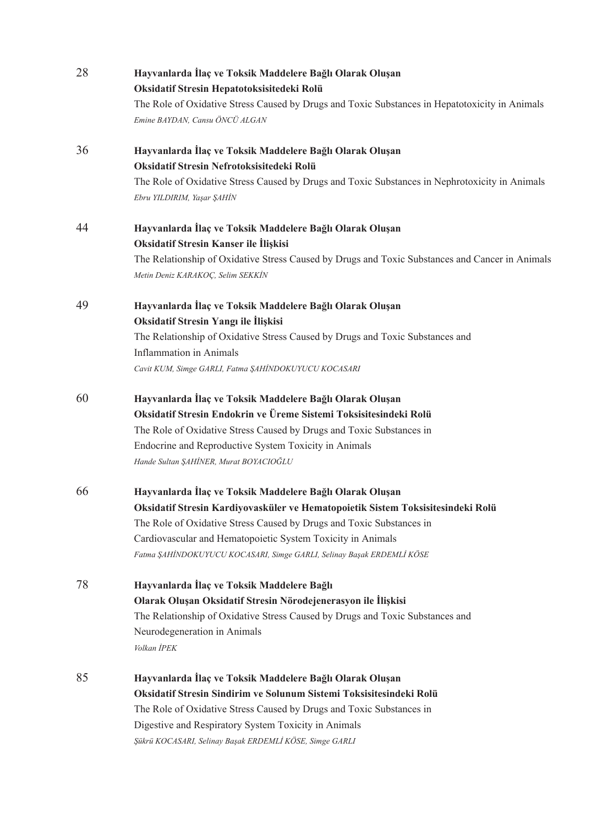| 28 | Hayvanlarda İlaç ve Toksik Maddelere Bağlı Olarak Oluşan<br>Oksidatif Stresin Hepatotoksisitedeki Rolü                       |
|----|------------------------------------------------------------------------------------------------------------------------------|
|    | The Role of Oxidative Stress Caused by Drugs and Toxic Substances in Hepatotoxicity in Animals                               |
|    | Emine BAYDAN, Cansu ÖNCÜ ALGAN                                                                                               |
| 36 | Hayvanlarda İlaç ve Toksik Maddelere Bağlı Olarak Oluşan                                                                     |
|    | Oksidatif Stresin Nefrotoksisitedeki Rolü                                                                                    |
|    | The Role of Oxidative Stress Caused by Drugs and Toxic Substances in Nephrotoxicity in Animals<br>Ebru YILDIRIM, Yaşar ŞAHİN |
| 44 | Hayvanlarda İlaç ve Toksik Maddelere Bağlı Olarak Oluşan                                                                     |
|    | Oksidatif Stresin Kanser ile İlişkisi                                                                                        |
|    | The Relationship of Oxidative Stress Caused by Drugs and Toxic Substances and Cancer in Animals                              |
|    | Metin Deniz KARAKOÇ, Selim SEKKİN                                                                                            |
| 49 | Hayvanlarda İlaç ve Toksik Maddelere Bağlı Olarak Oluşan                                                                     |
|    | Oksidatif Stresin Yangı ile İlişkisi                                                                                         |
|    | The Relationship of Oxidative Stress Caused by Drugs and Toxic Substances and                                                |
|    | <b>Inflammation</b> in Animals                                                                                               |
|    | Cavit KUM, Simge GARLI, Fatma ŞAHİNDOKUYUCU KOCASARI                                                                         |
| 60 | Hayvanlarda İlaç ve Toksik Maddelere Bağlı Olarak Oluşan                                                                     |
|    | Oksidatif Stresin Endokrin ve Üreme Sistemi Toksisitesindeki Rolü                                                            |
|    | The Role of Oxidative Stress Caused by Drugs and Toxic Substances in                                                         |
|    | Endocrine and Reproductive System Toxicity in Animals                                                                        |
|    | Hande Sultan ŞAHİNER, Murat BOYACIOĞLU                                                                                       |
| 66 | Hayvanlarda İlaç ve Toksik Maddelere Bağlı Olarak Oluşan                                                                     |
|    | Oksidatif Stresin Kardiyovasküler ve Hematopoietik Sistem Toksisitesindeki Rolü                                              |
|    | The Role of Oxidative Stress Caused by Drugs and Toxic Substances in                                                         |
|    | Cardiovascular and Hematopoietic System Toxicity in Animals                                                                  |
|    | Fatma ŞAHİNDOKUYUCU KOCASARI, Simge GARLI, Selinay Başak ERDEMLİ KÖSE                                                        |
| 78 | Hayvanlarda İlaç ve Toksik Maddelere Bağlı                                                                                   |
|    | Olarak Oluşan Oksidatif Stresin Nörodejenerasyon ile İlişkisi                                                                |
|    | The Relationship of Oxidative Stress Caused by Drugs and Toxic Substances and                                                |
|    | Neurodegeneration in Animals                                                                                                 |
|    | Volkan İPEK                                                                                                                  |
| 85 | Hayvanlarda İlaç ve Toksik Maddelere Bağlı Olarak Oluşan                                                                     |
|    | Oksidatif Stresin Sindirim ve Solunum Sistemi Toksisitesindeki Rolü                                                          |
|    | The Role of Oxidative Stress Caused by Drugs and Toxic Substances in                                                         |
|    | Digestive and Respiratory System Toxicity in Animals                                                                         |
|    | Şükrü KOCASARI, Selinay Başak ERDEMLİ KÖSE, Simge GARLI                                                                      |